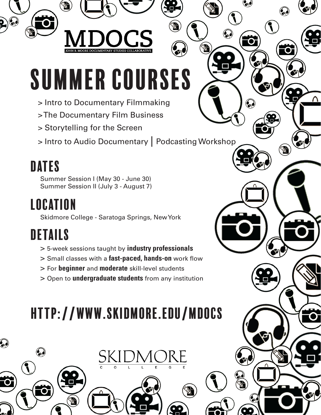# SUMMER COURSES

- > Intro to Documentary Filmmaking
- > The Documentary Film Business
- > Storytelling for the Screen
- > Intro to Audio Documentary | Podcasting Workshop

)<br>Kai

#### DATES

Summer Session I (May 30 - June 30) Summer Session II (July 3 - August 7)

#### **LOCATION**

Skidmore College - Saratoga Springs, New York

# DETAILS

- > 5-week sessions taught by **industry professionals**
- > Small classes with a **fast-paced, hands-on** work flow
- > For **beginner** and **moderate** skill-level students
- > Open to **undergraduate students** from any institution

# http://www.skidmore.edu/mdocs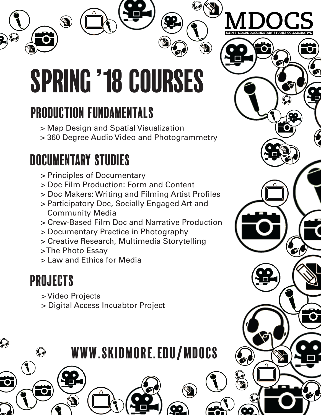

# Production Fundamentals

- > Map Design and Spatial Visualization
- > 360 Degree Audio Video and Photogrammetry

#### Documentary studies

- > Principles of Documentary
- > Doc Film Production: Form and Content
- > Doc Makers: Writing and Filming Artist Profiles
- > Participatory Doc, Socially Engaged Art and Community Media
- > Crew-Based Film Doc and Narrative Production

www.skidmore.edu/mdocs

- > Documentary Practice in Photography
- > Creative Research, Multimedia Storytelling
- > The Photo Essay
- > Law and Ethics for Media

# ProJECTS

- > Video Projects
- > Digital Access Incuabtor Project